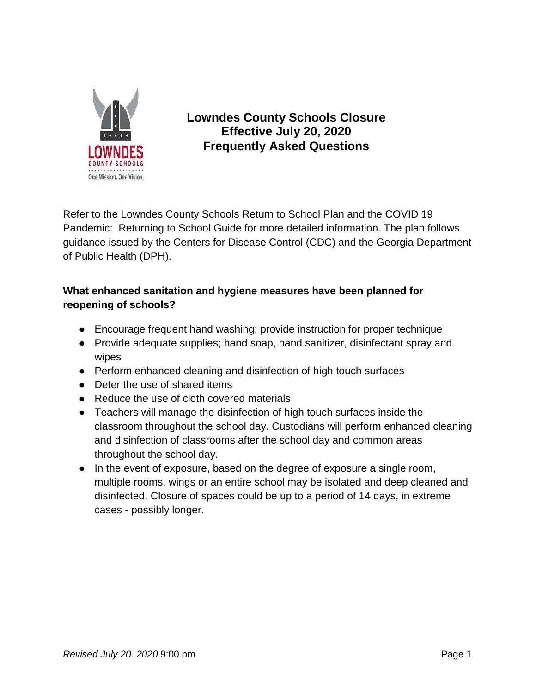

# **Lowndes County Schools Closure Effective July 20, 2020 Frequently Asked Questions**

Refer to the Lowndes County Schools Return to School Plan and the COVID 19 Pandemic: Returning to School Guide for more detailed information. The plan follows guidance issued by the Centers for Disease Control (CDC) and the Georgia Department of Public Health (DPH).

# **What enhanced sanitation and hygiene measures have been planned for reopening of schools?**

- Encourage frequent hand washing; provide instruction for proper technique
- Provide adequate supplies; hand soap, hand sanitizer, disinfectant spray and wipes
- Perform enhanced cleaning and disinfection of high touch surfaces
- Deter the use of shared items
- Reduce the use of cloth covered materials
- Teachers will manage the disinfection of high touch surfaces inside the classroom throughout the school day. Custodians will perform enhanced cleaning and disinfection of classrooms after the school day and common areas throughout the school day.
- In the event of exposure, based on the degree of exposure a single room, multiple rooms, wings or an entire school may be isolated and deep cleaned and disinfected. Closure of spaces could be up to a period of 14 days, in extreme cases - possibly longer.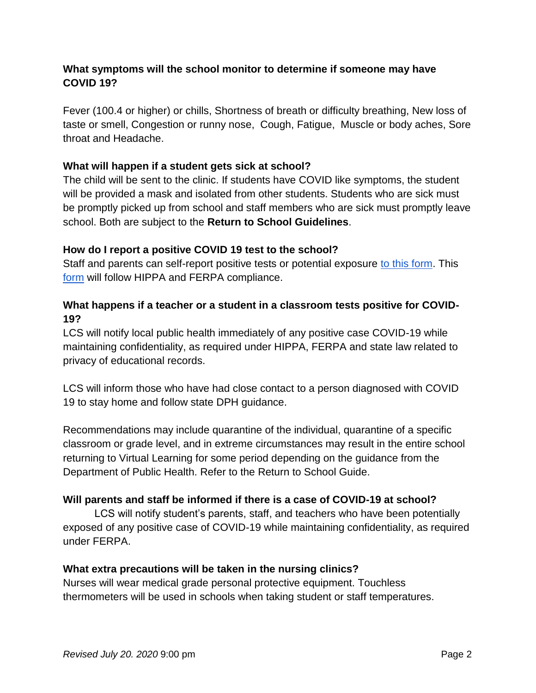## **What symptoms will the school monitor to determine if someone may have COVID 19?**

Fever (100.4 or higher) or chills, Shortness of breath or difficulty breathing, New loss of taste or smell, Congestion or runny nose, Cough, Fatigue, Muscle or body aches, Sore throat and Headache.

#### **What will happen if a student gets sick at school?**

The child will be sent to the clinic. If students have COVID like symptoms, the student will be provided a mask and isolated from other students. Students who are sick must be promptly picked up from school and staff members who are sick must promptly leave school. Both are subject to the **Return to School Guidelines**.

#### **How do I report a positive COVID 19 test to the school?**

Staff and par[e](https://docs.google.com/forms/d/e/1FAIpQLScLFVYNePQoQZqRRzPXbXJdv5XpmcsobBb5duNL_LpR0OYzRQ/viewform?vc=0&c=0&w=1)nts can self-report positive tests or potential exposure [to this form.](https://docs.google.com/forms/d/e/1FAIpQLScLFVYNePQoQZqRRzPXbXJdv5XpmcsobBb5duNL_LpR0OYzRQ/viewform?vc=0&c=0&w=1) Thi[s](https://docs.google.com/forms/d/e/1FAIpQLScLFVYNePQoQZqRRzPXbXJdv5XpmcsobBb5duNL_LpR0OYzRQ/viewform?vc=0&c=0&w=1) [form](https://docs.google.com/forms/d/e/1FAIpQLScLFVYNePQoQZqRRzPXbXJdv5XpmcsobBb5duNL_LpR0OYzRQ/viewform?vc=0&c=0&w=1) will follow HIPPA and FERPA compliance.

# **What happens if a teacher or a student in a classroom tests positive for COVID-19?**

LCS will notify local public health immediately of any positive case COVID-19 while maintaining confidentiality, as required under HIPPA, FERPA and state law related to privacy of educational records.

LCS will inform those who have had close contact to a person diagnosed with COVID 19 to stay home and follow state DPH guidance.

Recommendations may include quarantine of the individual, quarantine of a specific classroom or grade level, and in extreme circumstances may result in the entire school returning to Virtual Learning for some period depending on the guidance from the Department of Public Health. Refer to the Return to School Guide.

## **Will parents and staff be informed if there is a case of COVID-19 at school?**

LCS will notify student's parents, staff, and teachers who have been potentially exposed of any positive case of COVID-19 while maintaining confidentiality, as required under FERPA.

#### **What extra precautions will be taken in the nursing clinics?**

Nurses will wear medical grade personal protective equipment. Touchless thermometers will be used in schools when taking student or staff temperatures.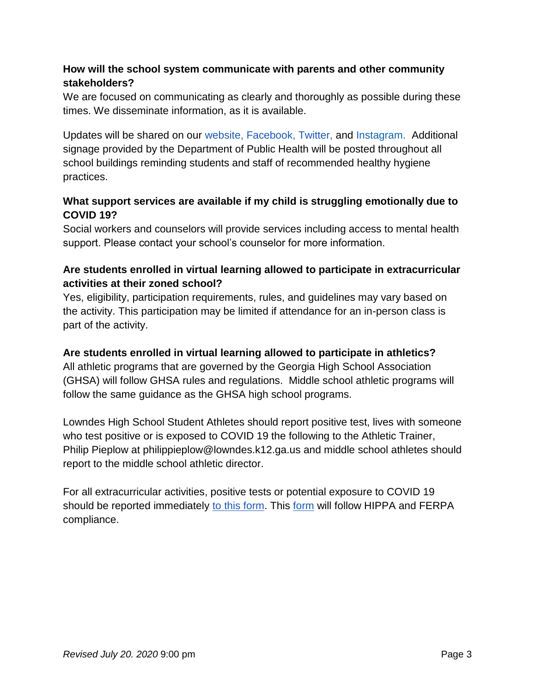# **How will the school system communicate with parents and other community stakeholders?**

We are focused on communicating as clearly and thoroughly as possible during these times. We disseminate information, as it is available.

Updates will be shared on ou[r](http://www.lowndes.k12.ga.us/) [website](http://www.lowndes.k12.ga.us/)[,](https://www.barrow.k12.ga.us/) [Facebook](https://www.barrow.k12.ga.us/)[,](https://www.facebook.com/BarrowCountySchools/?ref=aymt_homepage_panel&eid=ARC6I86QvHLBry4pFjomrRRMy20XK1rewex04z_kXEX_GYSo9E-i1FEKZq0wj5IsqZLImgowh8sr1kke) [Twitter](https://www.facebook.com/BarrowCountySchools/?ref=aymt_homepage_panel&eid=ARC6I86QvHLBry4pFjomrRRMy20XK1rewex04z_kXEX_GYSo9E-i1FEKZq0wj5IsqZLImgowh8sr1kke)[,](https://twitter.com/BCSchools1) an[d](https://instagram.com/onelowndes) [Instagram.](https://instagram.com/onelowndes) Additional signage provided by the Department of Public Health will be posted throughout all school buildings reminding students and staff of recommended healthy hygiene practices.

## **What support services are available if my child is struggling emotionally due to COVID 19?**

Social workers and counselors will provide services including access to mental health support. Please contact your school's counselor for more information.

# **Are students enrolled in virtual learning allowed to participate in extracurricular activities at their zoned school?**

Yes, eligibility, participation requirements, rules, and guidelines may vary based on the activity. This participation may be limited if attendance for an in-person class is part of the activity.

# **Are students enrolled in virtual learning allowed to participate in athletics?**

All athletic programs that are governed by the Georgia High School Association (GHSA) will follow GHSA rules and regulations. Middle school athletic programs will follow the same guidance as the GHSA high school programs.

Lowndes High School Student Athletes should report positive test, lives with someone who test positive or is exposed to COVID 19 the following to the Athletic Trainer, Philip Pieplow at philippieplow@lowndes.k12.ga.us and middle school athletes should report to the middle school athletic director.

For all extracurricular activities, positive tests or potential exposure to COVID 19 should be reported immediatel[y](https://docs.google.com/forms/d/e/1FAIpQLScLFVYNePQoQZqRRzPXbXJdv5XpmcsobBb5duNL_LpR0OYzRQ/viewform?vc=0&c=0&w=1) [to this form.](https://docs.google.com/forms/d/e/1FAIpQLScLFVYNePQoQZqRRzPXbXJdv5XpmcsobBb5duNL_LpR0OYzRQ/viewform?vc=0&c=0&w=1) Thi[s](https://docs.google.com/forms/d/e/1FAIpQLScLFVYNePQoQZqRRzPXbXJdv5XpmcsobBb5duNL_LpR0OYzRQ/viewform?vc=0&c=0&w=1) [form](https://docs.google.com/forms/d/e/1FAIpQLScLFVYNePQoQZqRRzPXbXJdv5XpmcsobBb5duNL_LpR0OYzRQ/viewform?vc=0&c=0&w=1) will follow HIPPA and FERPA compliance.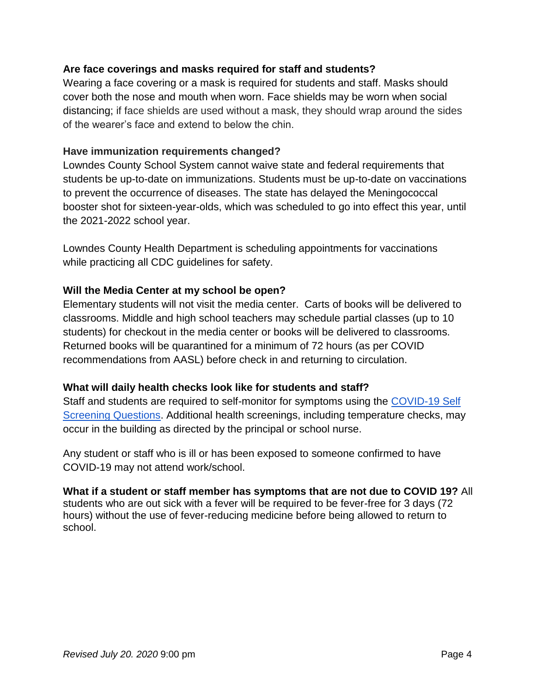#### **Are face coverings and masks required for staff and students?**

Wearing a face covering or a mask is required for students and staff. Masks should cover both the nose and mouth when worn. Face shields may be worn when social distancing; if face shields are used without a mask, they should wrap around the sides of the wearer's face and extend to below the chin.

#### **Have immunization requirements changed?**

Lowndes County School System cannot waive state and federal requirements that students be up-to-date on immunizations. Students must be up-to-date on vaccinations to prevent the occurrence of diseases. The state has delayed the Meningococcal booster shot for sixteen-year-olds, which was scheduled to go into effect this year, until the 2021-2022 school year.

Lowndes County Health Department is scheduling appointments for vaccinations while practicing all CDC guidelines for safety.

#### **Will the Media Center at my school be open?**

Elementary students will not visit the media center. Carts of books will be delivered to classrooms. Middle and high school teachers may schedule partial classes (up to 10 students) for checkout in the media center or books will be delivered to classrooms. Returned books will be quarantined for a minimum of 72 hours (as per COVID recommendations from AASL) before check in and returning to circulation.

#### **What will daily health checks look like for students and staff?**

Staff and students are required to self-monitor for symptoms using the [COVID-19 Self](https://drive.google.com/file/d/17qhO1waK3tXm7fsXyZW8rJ_tJ3YU_-SP/view?usp=sharing)  [Screening Questions.](https://drive.google.com/file/d/17qhO1waK3tXm7fsXyZW8rJ_tJ3YU_-SP/view?usp=sharing) Additional health screenings, including temperature checks, may occur in the building as directed by the principal or school nurse.

Any student or staff who is ill or has been exposed to someone confirmed to have COVID-19 may not attend work/school.

# **What if a student or staff member has symptoms that are not due to COVID 19?** All

students who are out sick with a fever will be required to be fever-free for 3 days (72 hours) without the use of fever-reducing medicine before being allowed to return to school.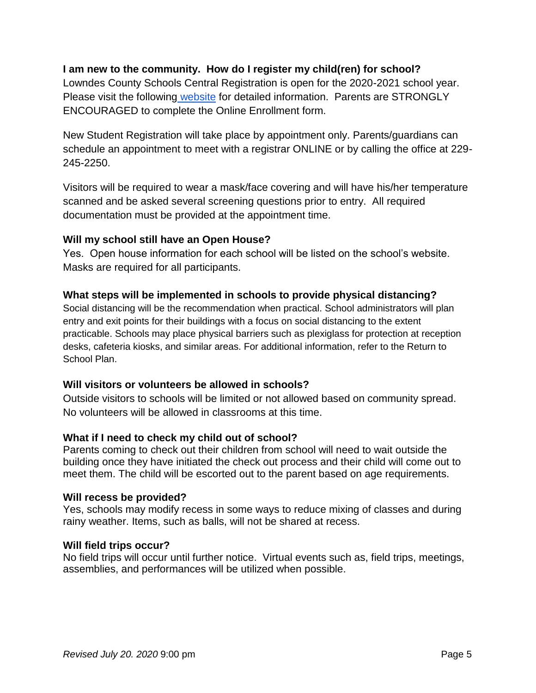#### **I am new to the community. How do I register my child(ren) for school?**

Lowndes County Schools Central Registration is open for the 2020-2021 school year. Please visit the following [website](https://www.lowndes.k12.ga.us/cms/one.aspx?pageId=557117) for detailed information. Parents are STRONGLY ENCOURAGED to complete the Online Enrollment form.

New Student Registration will take place by appointment only. Parents/guardians can schedule an appointment to meet with a registrar ONLINE or by calling the office at 229- 245-2250.

Visitors will be required to wear a mask/face covering and will have his/her temperature scanned and be asked several screening questions prior to entry. All required documentation must be provided at the appointment time.

#### **Will my school still have an Open House?**

Yes. Open house information for each school will be listed on the school's website. Masks are required for all participants.

#### **What steps will be implemented in schools to provide physical distancing?**

Social distancing will be the recommendation when practical. School administrators will plan entry and exit points for their buildings with a focus on social distancing to the extent practicable. Schools may place physical barriers such as plexiglass for protection at reception desks, cafeteria kiosks, and similar areas. For additional information, refer to the Return to School Plan.

#### **Will visitors or volunteers be allowed in schools?**

Outside visitors to schools will be limited or not allowed based on community spread. No volunteers will be allowed in classrooms at this time.

#### **What if I need to check my child out of school?**

Parents coming to check out their children from school will need to wait outside the building once they have initiated the check out process and their child will come out to meet them. The child will be escorted out to the parent based on age requirements.

#### **Will recess be provided?**

Yes, schools may modify recess in some ways to reduce mixing of classes and during rainy weather. Items, such as balls, will not be shared at recess.

#### **Will field trips occur?**

No field trips will occur until further notice. Virtual events such as, field trips, meetings, assemblies, and performances will be utilized when possible.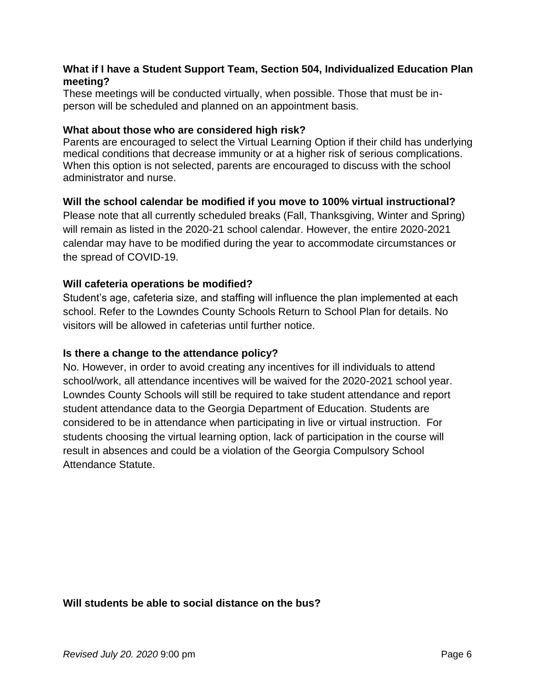#### **What if I have a Student Support Team, Section 504, Individualized Education Plan meeting?**

These meetings will be conducted virtually, when possible. Those that must be inperson will be scheduled and planned on an appointment basis.

#### **What about those who are considered high risk?**

Parents are encouraged to select the Virtual Learning Option if their child has underlying medical conditions that decrease immunity or at a higher risk of serious complications. When this option is not selected, parents are encouraged to discuss with the school administrator and nurse.

#### **Will the school calendar be modified if you move to 100% virtual instructional?**

Please note that all currently scheduled breaks (Fall, Thanksgiving, Winter and Spring) will remain as listed in the 2020-21 school calendar. However, the entire 2020-2021 calendar may have to be modified during the year to accommodate circumstances or the spread of COVID-19.

#### **Will cafeteria operations be modified?**

Student's age, cafeteria size, and staffing will influence the plan implemented at each school. Refer to the Lowndes County Schools Return to School Plan for details. No visitors will be allowed in cafeterias until further notice.

#### **Is there a change to the attendance policy?**

No. However, in order to avoid creating any incentives for ill individuals to attend school/work, all attendance incentives will be waived for the 2020-2021 school year. Lowndes County Schools will still be required to take student attendance and report student attendance data to the Georgia Department of Education. Students are considered to be in attendance when participating in live or virtual instruction. For students choosing the virtual learning option, lack of participation in the course will result in absences and could be a violation of the Georgia Compulsory School Attendance Statute.

#### **Will students be able to social distance on the bus?**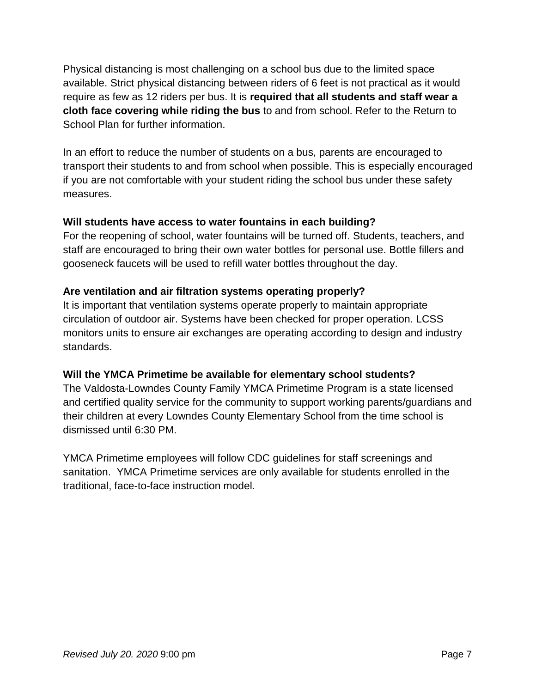Physical distancing is most challenging on a school bus due to the limited space available. Strict physical distancing between riders of 6 feet is not practical as it would require as few as 12 riders per bus. It is **required that all students and staff wear a cloth face covering while riding the bus** to and from school. Refer to the Return to School Plan for further information.

In an effort to reduce the number of students on a bus, parents are encouraged to transport their students to and from school when possible. This is especially encouraged if you are not comfortable with your student riding the school bus under these safety measures.

# **Will students have access to water fountains in each building?**

For the reopening of school, water fountains will be turned off. Students, teachers, and staff are encouraged to bring their own water bottles for personal use. Bottle fillers and gooseneck faucets will be used to refill water bottles throughout the day.

# **Are ventilation and air filtration systems operating properly?**

It is important that ventilation systems operate properly to maintain appropriate circulation of outdoor air. Systems have been checked for proper operation. LCSS monitors units to ensure air exchanges are operating according to design and industry standards.

# **Will the YMCA Primetime be available for elementary school students?**

The Valdosta-Lowndes County Family YMCA Primetime Program is a state licensed and certified quality service for the community to support working parents/guardians and their children at every Lowndes County Elementary School from the time school is dismissed until 6:30 PM.

YMCA Primetime employees will follow CDC guidelines for staff screenings and sanitation. YMCA Primetime services are only available for students enrolled in the traditional, face-to-face instruction model.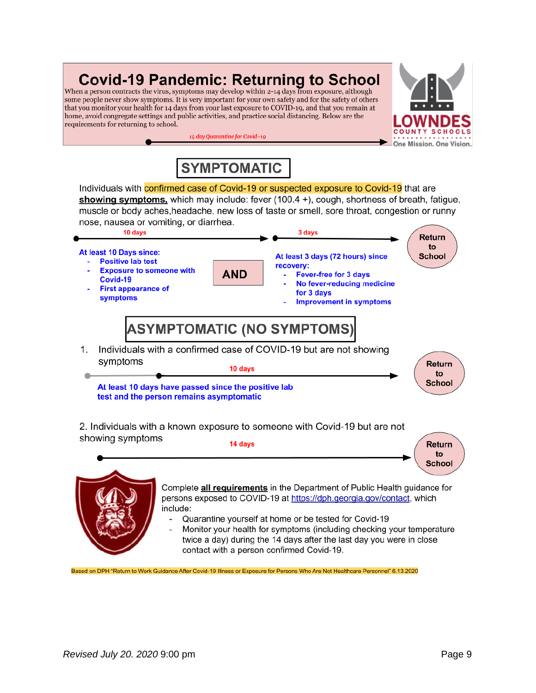# **Covid-19 Pandemic: Returning to School**

When a person contracts the virus, symptoms may develop within 2-14 days from exposure, although some people never show symptoms. It is very important for your own safety and for the safety of others that you monitor your health for 14 days from your last exposure to COVID-19, and that you remain at home, avoid congregate settings and public activities, and practice social distancing. Below are the requirements for returning to school.



# **SYMPTOMATIC**

14 day Quarantine for Covid-19

Individuals with confirmed case of Covid-19 or suspected exposure to Covid-19 that are showing symptoms, which may include: fever  $(100.4 +)$ , cough, shortness of breath, fatigue, muscle or body aches, headache, new loss of taste or smell, sore throat, congestion or runny nose, nausea or vomiting, or diarrhea.



2. Individuals with a known exposure to someone with Covid-19 but are not showing symptoms 14 days



Based on DPH "Return to Work Guidance After Covid-19 Illness or Exposure for Persons Who Are Not Healthcare Personnel" 6.13.2020